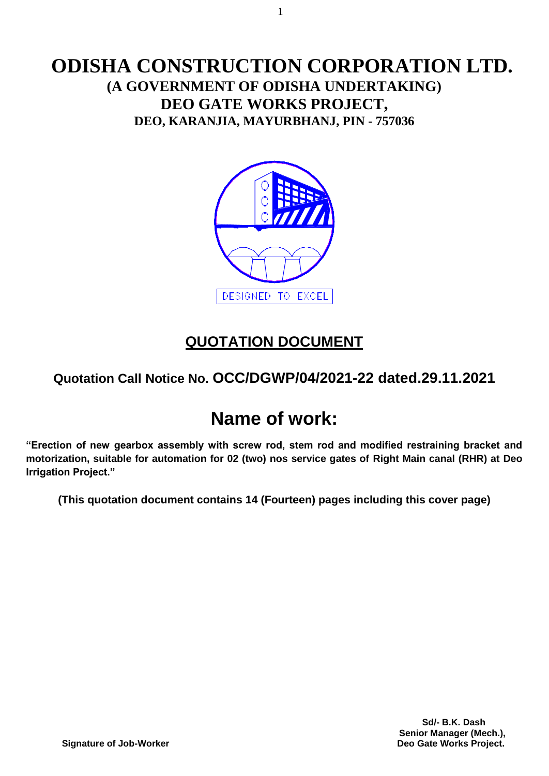# **ODISHA CONSTRUCTION CORPORATION LTD. (A GOVERNMENT OF ODISHA UNDERTAKING) DEO GATE WORKS PROJECT, DEO, KARANJIA, MAYURBHANJ, PIN - 757036**



# **QUOTATION DOCUMENT**

# **Quotation Call Notice No. OCC/DGWP/04/2021-22 dated.29.11.2021**

# **Name of work:**

**"Erection of new gearbox assembly with screw rod, stem rod and modified restraining bracket and motorization, suitable for automation for 02 (two) nos service gates of Right Main canal (RHR) at Deo Irrigation Project."**

**(This quotation document contains 14 (Fourteen) pages including this cover page)**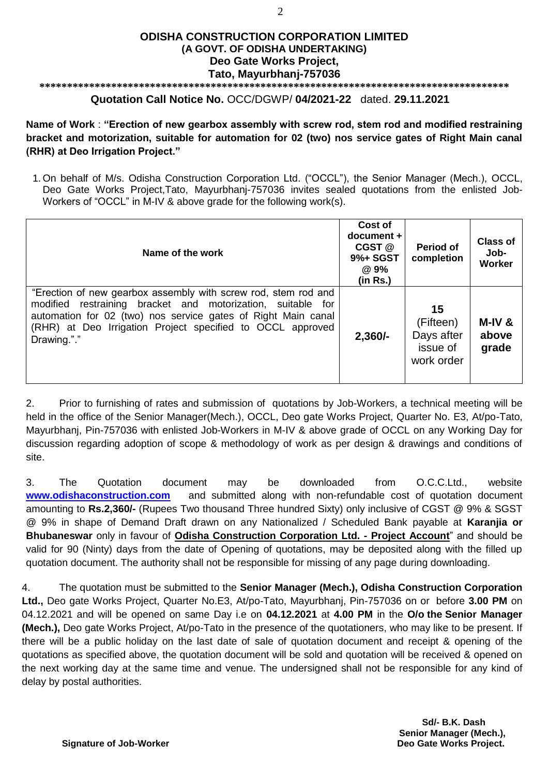#### **ODISHA CONSTRUCTION CORPORATION LIMITED (A GOVT. OF ODISHA UNDERTAKING) Deo Gate Works Project, Tato, Mayurbhanj-757036**

#### **\*\*\*\*\*\*\*\*\*\*\*\*\*\*\*\*\*\*\*\*\*\*\*\*\*\*\*\*\*\*\*\*\*\*\*\*\*\*\*\*\*\*\*\*\*\*\*\*\*\*\*\*\*\*\*\*\*\*\*\*\*\*\*\*\*\*\*\*\*\*\*\*\*\*\*\*\*\*\*\*\*\*\*\*\***

#### **Quotation Call Notice No.** OCC/DGWP/ **04/2021-22** dated. **29.11.2021**

**Name of Work** : **"Erection of new gearbox assembly with screw rod, stem rod and modified restraining bracket and motorization, suitable for automation for 02 (two) nos service gates of Right Main canal (RHR) at Deo Irrigation Project."**

1. On behalf of M/s. Odisha Construction Corporation Ltd. ("OCCL"), the Senior Manager (Mech.), OCCL, Deo Gate Works Project,Tato, Mayurbhanj-757036 invites sealed quotations from the enlisted Job-Workers of "OCCL" in M-IV & above grade for the following work(s).

| Name of the work                                                                                                                                                                                                                                                            | Cost of<br>$document +$<br>CGST @<br>9%+ SGST<br>@ 9%<br>(in Rs.) | Period of<br>completion                                 | <b>Class of</b><br>Job-<br><b>Worker</b> |
|-----------------------------------------------------------------------------------------------------------------------------------------------------------------------------------------------------------------------------------------------------------------------------|-------------------------------------------------------------------|---------------------------------------------------------|------------------------------------------|
| "Erection of new gearbox assembly with screw rod, stem rod and<br>modified restraining bracket and motorization, suitable for<br>automation for 02 (two) nos service gates of Right Main canal<br>(RHR) at Deo Irrigation Project specified to OCCL approved<br>Drawing."." | $2,360/-$                                                         | 15<br>(Fifteen)<br>Days after<br>issue of<br>work order | M-IV&<br>above<br>grade                  |

2. Prior to furnishing of rates and submission of quotations by Job-Workers, a technical meeting will be held in the office of the Senior Manager(Mech.), OCCL, Deo gate Works Project, Quarter No. E3, At/po-Tato, Mayurbhanj, Pin-757036 with enlisted Job-Workers in M-IV & above grade of OCCL on any Working Day for discussion regarding adoption of scope & methodology of work as per design & drawings and conditions of site.

3. The Quotation document may be downloaded from O.C.C.Ltd., website **[www.odishaconstruction.com](http://www.odishaconstruction.com/)** and submitted along with non-refundable cost of quotation document amounting to **Rs.2,360/-** (Rupees Two thousand Three hundred Sixty) only inclusive of CGST @ 9% & SGST @ 9% in shape of Demand Draft drawn on any Nationalized / Scheduled Bank payable at **Karanjia or Bhubaneswar** only in favour of **Odisha Construction Corporation Ltd. - Project Account**" and should be valid for 90 (Ninty) days from the date of Opening of quotations, may be deposited along with the filled up quotation document. The authority shall not be responsible for missing of any page during downloading.

4. The quotation must be submitted to the **Senior Manager (Mech.), Odisha Construction Corporation Ltd.,** Deo gate Works Project, Quarter No.E3, At/po-Tato, Mayurbhanj, Pin-757036 on or before **3.00 PM** on 04.12.2021 and will be opened on same Day i.e on **04.12.2021** at **4.00 PM** in the **O/o the Senior Manager (Mech.),** Deo gate Works Project, At/po-Tato in the presence of the quotationers, who may like to be present. If there will be a public holiday on the last date of sale of quotation document and receipt & opening of the quotations as specified above, the quotation document will be sold and quotation will be received & opened on the next working day at the same time and venue. The undersigned shall not be responsible for any kind of delay by postal authorities.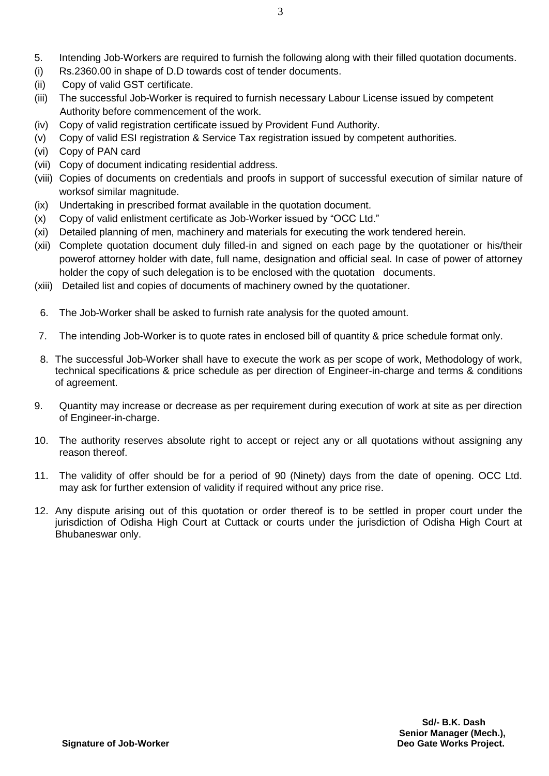- 5. Intending Job-Workers are required to furnish the following along with their filled quotation documents.
- (i) Rs.2360.00 in shape of D.D towards cost of tender documents.
- (ii) Copy of valid GST certificate.
- (iii) The successful Job-Worker is required to furnish necessary Labour License issued by competent Authority before commencement of the work.
- (iv) Copy of valid registration certificate issued by Provident Fund Authority.
- (v) Copy of valid ESI registration & Service Tax registration issued by competent authorities.
- (vi) Copy of PAN card
- (vii) Copy of document indicating residential address.
- (viii) Copies of documents on credentials and proofs in support of successful execution of similar nature of worksof similar magnitude.
- (ix) Undertaking in prescribed format available in the quotation document.
- (x) Copy of valid enlistment certificate as Job-Worker issued by "OCC Ltd."
- (xi) Detailed planning of men, machinery and materials for executing the work tendered herein.
- (xii) Complete quotation document duly filled-in and signed on each page by the quotationer or his/their powerof attorney holder with date, full name, designation and official seal. In case of power of attorney holder the copy of such delegation is to be enclosed with the quotation documents.
- (xiii) Detailed list and copies of documents of machinery owned by the quotationer.
- 6. The Job-Worker shall be asked to furnish rate analysis for the quoted amount.
- 7. The intending Job-Worker is to quote rates in enclosed bill of quantity & price schedule format only.
- 8. The successful Job-Worker shall have to execute the work as per scope of work, Methodology of work, technical specifications & price schedule as per direction of Engineer-in-charge and terms & conditions of agreement.
- 9. Quantity may increase or decrease as per requirement during execution of work at site as per direction of Engineer-in-charge.
- 10. The authority reserves absolute right to accept or reject any or all quotations without assigning any reason thereof.
- 11. The validity of offer should be for a period of 90 (Ninety) days from the date of opening. OCC Ltd. may ask for further extension of validity if required without any price rise.
- 12. Any dispute arising out of this quotation or order thereof is to be settled in proper court under the jurisdiction of Odisha High Court at Cuttack or courts under the jurisdiction of Odisha High Court at Bhubaneswar only.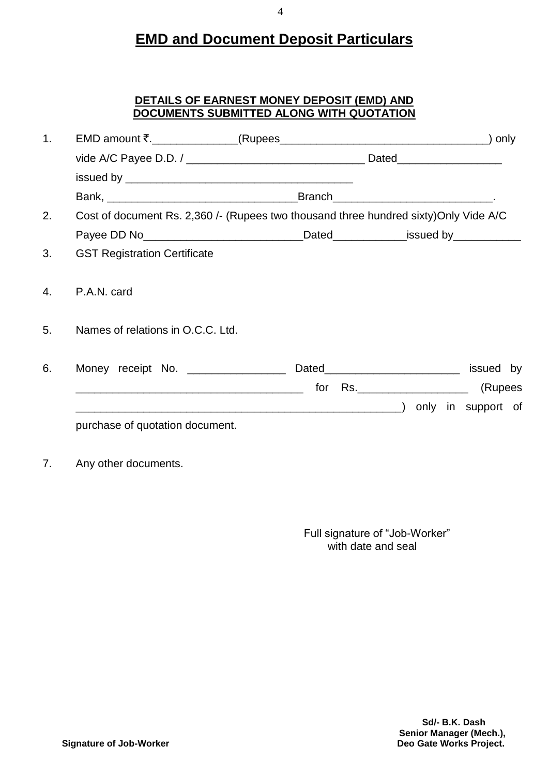# **EMD and Document Deposit Particulars**

# **DETAILS OF EARNEST MONEY DEPOSIT (EMD) AND DOCUMENTS SUBMITTED ALONG WITH QUOTATION**

| 1 <sub>1</sub> |                                                                                       |  |  |  |  |  |  |  |
|----------------|---------------------------------------------------------------------------------------|--|--|--|--|--|--|--|
|                |                                                                                       |  |  |  |  |  |  |  |
|                |                                                                                       |  |  |  |  |  |  |  |
|                |                                                                                       |  |  |  |  |  |  |  |
| 2.             | Cost of document Rs. 2,360 /- (Rupees two thousand three hundred sixty) Only Vide A/C |  |  |  |  |  |  |  |
|                |                                                                                       |  |  |  |  |  |  |  |
| 3.             | <b>GST Registration Certificate</b>                                                   |  |  |  |  |  |  |  |
| 4.             | P.A.N. card                                                                           |  |  |  |  |  |  |  |
| 5.             | Names of relations in O.C.C. Ltd.                                                     |  |  |  |  |  |  |  |
| 6.             |                                                                                       |  |  |  |  |  |  |  |
|                |                                                                                       |  |  |  |  |  |  |  |
|                |                                                                                       |  |  |  |  |  |  |  |
|                | purchase of quotation document.                                                       |  |  |  |  |  |  |  |
| 7.             | Any other documents.                                                                  |  |  |  |  |  |  |  |

 Full signature of "Job-Worker" with date and seal

4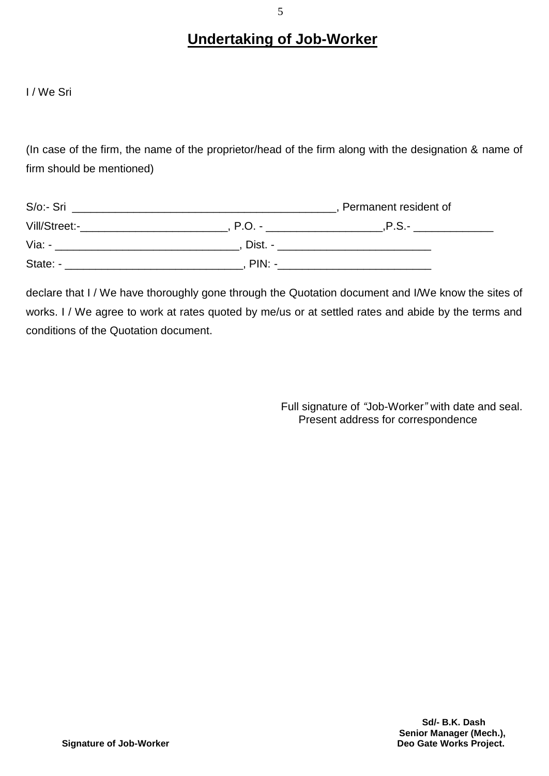# **Undertaking of Job-Worker**

I / We Sri

(In case of the firm, the name of the proprietor/head of the firm along with the designation & name of firm should be mentioned)

| S/o:- Sri     |          | Permanent resident of |  |
|---------------|----------|-----------------------|--|
| Vill/Street:- | $P.O. -$ | .P.S.-                |  |
| Via: -        | Dist. -  |                       |  |
| State: -      | $PIN: -$ |                       |  |

declare that I / We have thoroughly gone through the Quotation document and I/We know the sites of works. I / We agree to work at rates quoted by me/us or at settled rates and abide by the terms and conditions of the Quotation document.

> Full signature of *"*Job-Worker*"* with date and seal. Present address for correspondence

> > **Sd/- B.K. Dash Senior Manager (Mech.),**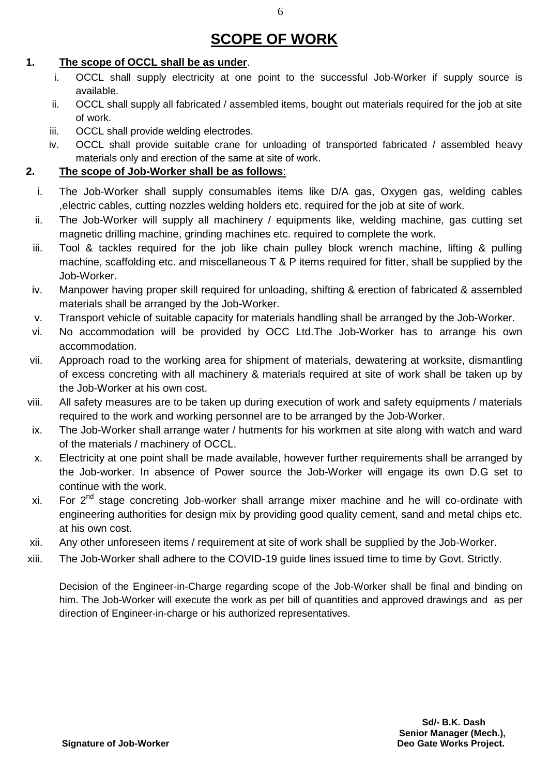# **SCOPE OF WORK**

#### **1. The scope of OCCL shall be as under**.  $\mathbf{1}$ .

- i. OCCL shall supply electricity at one point to the successful Job-Worker if supply source is available.
- ii. OCCL shall supply all fabricated / assembled items, bought out materials required for the job at site of work.
- iii. OCCL shall provide welding electrodes.
- iv. OCCL shall provide suitable crane for unloading of transported fabricated / assembled heavy materials only and erection of the same at site of work.

# **2. The scope of Job-Worker shall be as follows**:

- i. The Job-Worker shall supply consumables items like D/A gas, Oxygen gas, welding cables ,electric cables, cutting nozzles welding holders etc. required for the job at site of work.
- ii. The Job-Worker will supply all machinery / equipments like, welding machine, gas cutting set magnetic drilling machine, grinding machines etc. required to complete the work.
- iii. Tool & tackles required for the job like chain pulley block wrench machine, lifting & pulling machine, scaffolding etc. and miscellaneous T & P items required for fitter, shall be supplied by the Job-Worker.
- iv. Manpower having proper skill required for unloading, shifting & erection of fabricated & assembled materials shall be arranged by the Job-Worker.
- v. Transport vehicle of suitable capacity for materials handling shall be arranged by the Job-Worker.
- vi. No accommodation will be provided by OCC Ltd.The Job-Worker has to arrange his own accommodation.
- vii. Approach road to the working area for shipment of materials, dewatering at worksite, dismantling of excess concreting with all machinery & materials required at site of work shall be taken up by the Job-Worker at his own cost.
- viii. All safety measures are to be taken up during execution of work and safety equipments / materials required to the work and working personnel are to be arranged by the Job-Worker.
- ix. The Job-Worker shall arrange water / hutments for his workmen at site along with watch and ward of the materials / machinery of OCCL.
- x. Electricity at one point shall be made available, however further requirements shall be arranged by the Job-worker. In absence of Power source the Job-Worker will engage its own D.G set to continue with the work.
- xi. For  $2^{nd}$  stage concreting Job-worker shall arrange mixer machine and he will co-ordinate with engineering authorities for design mix by providing good quality cement, sand and metal chips etc. at his own cost.
- xii. Any other unforeseen items / requirement at site of work shall be supplied by the Job-Worker.
- xiii. The Job-Worker shall adhere to the COVID-19 guide lines issued time to time by Govt. Strictly.

Decision of the Engineer-in-Charge regarding scope of the Job-Worker shall be final and binding on him. The Job-Worker will execute the work as per bill of quantities and approved drawings and as per direction of Engineer-in-charge or his authorized representatives.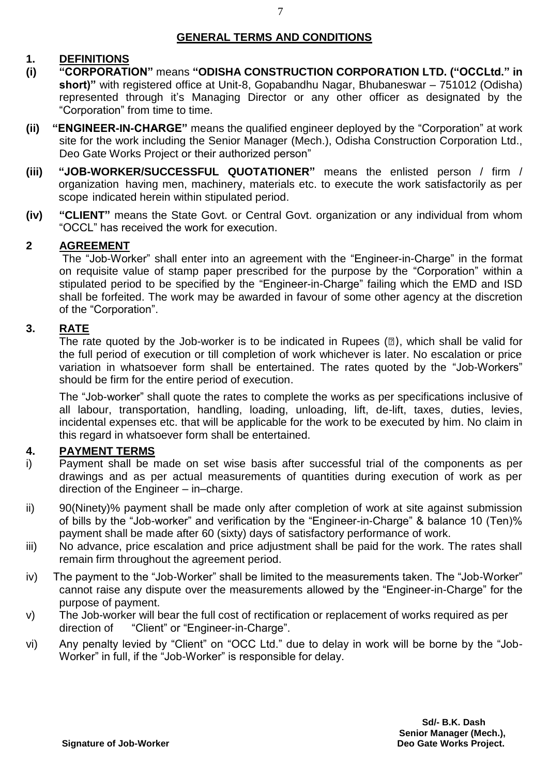# **1. DEFINITIONS**

7

- **(i) "CORPORATION"** means **"ODISHA CONSTRUCTION CORPORATION LTD. ("OCCLtd." in short)"** with registered office at Unit-8, Gopabandhu Nagar, Bhubaneswar – 751012 (Odisha) represented through it's Managing Director or any other officer as designated by the "Corporation" from time to time.
- **(ii) "ENGINEER-IN-CHARGE"** means the qualified engineer deployed by the "Corporation" at work site for the work including the Senior Manager (Mech.), Odisha Construction Corporation Ltd., Deo Gate Works Project or their authorized person"
- **(iii) "JOB-WORKER/SUCCESSFUL QUOTATIONER"** means the enlisted person / firm / organization having men, machinery, materials etc. to execute the work satisfactorily as per scope indicated herein within stipulated period.
- **(iv) "CLIENT"** means the State Govt. or Central Govt. organization or any individual from whom "OCCL" has received the work for execution.

# **2 AGREEMENT**

The "Job-Worker" shall enter into an agreement with the "Engineer-in-Charge" in the format on requisite value of stamp paper prescribed for the purpose by the "Corporation" within a stipulated period to be specified by the "Engineer-in-Charge" failing which the EMD and ISD shall be forfeited. The work may be awarded in favour of some other agency at the discretion of the "Corporation".

# **3. RATE**

The rate quoted by the Job-worker is to be indicated in Rupees  $(\mathbb{Z})$ , which shall be valid for the full period of execution or till completion of work whichever is later. No escalation or price variation in whatsoever form shall be entertained. The rates quoted by the "Job-Workers" should be firm for the entire period of execution.

The "Job-worker" shall quote the rates to complete the works as per specifications inclusive of all labour, transportation, handling, loading, unloading, lift, de-lift, taxes, duties, levies, incidental expenses etc. that will be applicable for the work to be executed by him. No claim in this regard in whatsoever form shall be entertained.

# **4. PAYMENT TERMS**

- i) Payment shall be made on set wise basis after successful trial of the components as per drawings and as per actual measurements of quantities during execution of work as per direction of the Engineer – in–charge.
- ii) 90(Ninety)% payment shall be made only after completion of work at site against submission of bills by the "Job-worker" and verification by the "Engineer-in-Charge" & balance 10 (Ten)% payment shall be made after 60 (sixty) days of satisfactory performance of work.
- iii) No advance, price escalation and price adjustment shall be paid for the work. The rates shall remain firm throughout the agreement period.
- iv) The payment to the "Job-Worker" shall be limited to the measurements taken. The "Job-Worker" cannot raise any dispute over the measurements allowed by the "Engineer-in-Charge" for the purpose of payment.
- v) The Job-worker will bear the full cost of rectification or replacement of works required as per direction of "Client" or "Engineer-in-Charge".
- vi) Any penalty levied by "Client" on "OCC Ltd." due to delay in work will be borne by the "Job-Worker" in full, if the "Job-Worker" is responsible for delay.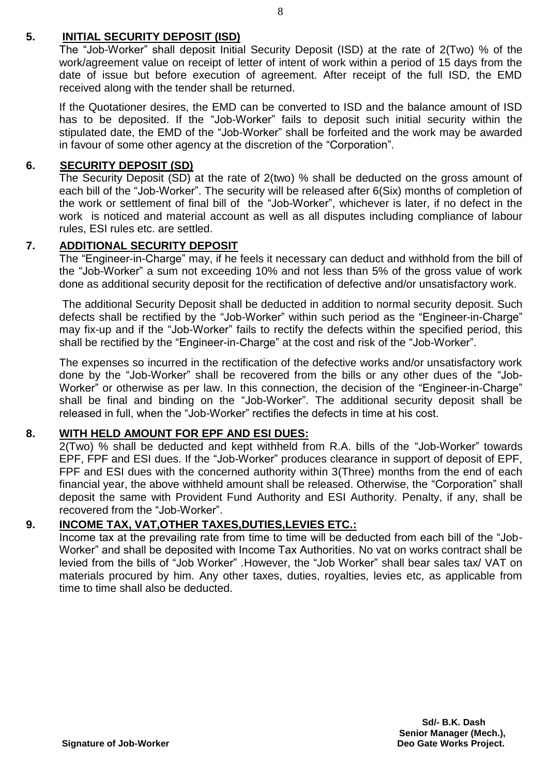# **5. INITIAL SECURITY DEPOSIT (ISD)**

The "Job-Worker" shall deposit Initial Security Deposit (ISD) at the rate of 2(Two) % of the work/agreement value on receipt of letter of intent of work within a period of 15 days from the date of issue but before execution of agreement. After receipt of the full ISD, the EMD received along with the tender shall be returned.

If the Quotationer desires, the EMD can be converted to ISD and the balance amount of ISD has to be deposited. If the "Job-Worker" fails to deposit such initial security within the stipulated date, the EMD of the "Job-Worker" shall be forfeited and the work may be awarded in favour of some other agency at the discretion of the "Corporation".

### **6. SECURITY DEPOSIT (SD)**

The Security Deposit (SD) at the rate of 2(two) % shall be deducted on the gross amount of each bill of the "Job-Worker". The security will be released after 6(Six) months of completion of the work or settlement of final bill of the "Job-Worker", whichever is later, if no defect in the work is noticed and material account as well as all disputes including compliance of labour rules, ESI rules etc. are settled.

# **7. ADDITIONAL SECURITY DEPOSIT**

The "Engineer-in-Charge" may, if he feels it necessary can deduct and withhold from the bill of the "Job-Worker" a sum not exceeding 10% and not less than 5% of the gross value of work done as additional security deposit for the rectification of defective and/or unsatisfactory work.

The additional Security Deposit shall be deducted in addition to normal security deposit. Such defects shall be rectified by the "Job-Worker" within such period as the "Engineer-in-Charge" may fix-up and if the "Job-Worker" fails to rectify the defects within the specified period, this shall be rectified by the "Engineer-in-Charge" at the cost and risk of the "Job-Worker".

The expenses so incurred in the rectification of the defective works and/or unsatisfactory work done by the "Job-Worker" shall be recovered from the bills or any other dues of the "Job-Worker" or otherwise as per law. In this connection, the decision of the "Engineer-in-Charge" shall be final and binding on the "Job-Worker". The additional security deposit shall be released in full, when the "Job-Worker" rectifies the defects in time at his cost.

### **8. WITH HELD AMOUNT FOR EPF AND ESI DUES:**

2(Two) % shall be deducted and kept withheld from R.A. bills of the "Job-Worker" towards EPF, FPF and ESI dues. If the "Job-Worker" produces clearance in support of deposit of EPF, FPF and ESI dues with the concerned authority within 3(Three) months from the end of each financial year, the above withheld amount shall be released. Otherwise, the "Corporation" shall deposit the same with Provident Fund Authority and ESI Authority. Penalty, if any, shall be recovered from the "Job-Worker".

### **9. INCOME TAX, VAT,OTHER TAXES,DUTIES,LEVIES ETC.:**

Income tax at the prevailing rate from time to time will be deducted from each bill of the "Job-Worker" and shall be deposited with Income Tax Authorities. No vat on works contract shall be levied from the bills of "Job Worker" .However, the "Job Worker" shall bear sales tax/ VAT on materials procured by him. Any other taxes, duties, royalties, levies etc, as applicable from time to time shall also be deducted.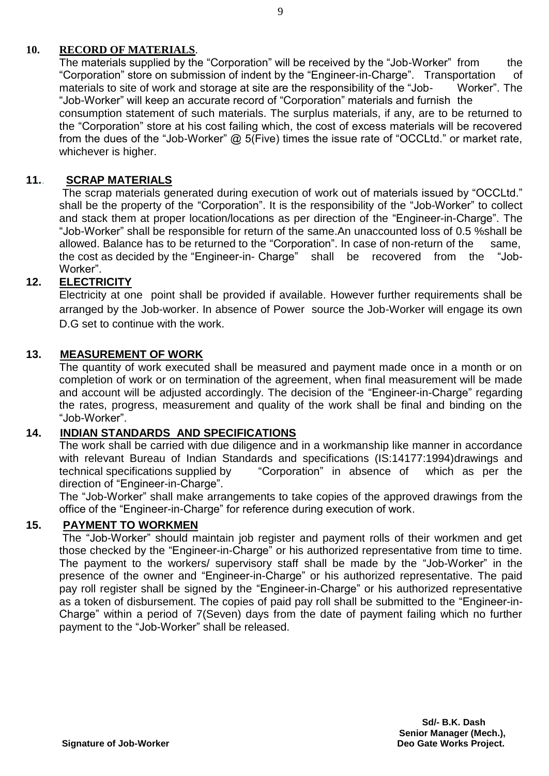# **10. RECORD OF MATERIALS**.

The materials supplied by the "Corporation" will be received by the "Job-Worker" from the "Corporation" store on submission of indent by the "Engineer-in-Charge". Transportation of materials to site of work and storage at site are the responsibility of the "Job- Worker". The "Job-Worker" will keep an accurate record of "Corporation" materials and furnish the consumption statement of such materials. The surplus materials, if any, are to be returned to the "Corporation" store at his cost failing which, the cost of excess materials will be recovered from the dues of the "Job-Worker"  $@$  5(Five) times the issue rate of "OCCLtd." or market rate, whichever is higher.

### **11.**. **SCRAP MATERIALS**

The scrap materials generated during execution of work out of materials issued by "OCCLtd." shall be the property of the "Corporation". It is the responsibility of the "Job-Worker" to collect and stack them at proper location/locations as per direction of the "Engineer-in-Charge". The "Job-Worker" shall be responsible for return of the same.An unaccounted loss of 0.5 %shall be allowed. Balance has to be returned to the "Corporation". In case of non-return of the same, the cost as decided by the "Engineer-in- Charge" shall be recovered from the "Job-Worker".

# **12. ELECTRICITY**

Electricity at one point shall be provided if available. However further requirements shall be arranged by the Job-worker. In absence of Power source the Job-Worker will engage its own D.G set to continue with the work.

### **13. MEASUREMENT OF WORK**

The quantity of work executed shall be measured and payment made once in a month or on completion of work or on termination of the agreement, when final measurement will be made and account will be adjusted accordingly. The decision of the "Engineer-in-Charge" regarding the rates, progress, measurement and quality of the work shall be final and binding on the "Job-Worker".

### **14. INDIAN STANDARDS AND SPECIFICATIONS**

The work shall be carried with due diligence and in a workmanship like manner in accordance with relevant Bureau of Indian Standards and specifications (IS:14177:1994)drawings and technical specifications supplied by "Corporation" in absence of which as per the direction of "Engineer-in-Charge".

The "Job-Worker" shall make arrangements to take copies of the approved drawings from the office of the "Engineer-in-Charge" for reference during execution of work.

### **15. PAYMENT TO WORKMEN**

The "Job-Worker" should maintain job register and payment rolls of their workmen and get those checked by the "Engineer-in-Charge" or his authorized representative from time to time. The payment to the workers/ supervisory staff shall be made by the "Job-Worker" in the presence of the owner and "Engineer-in-Charge" or his authorized representative. The paid pay roll register shall be signed by the "Engineer-in-Charge" or his authorized representative as a token of disbursement. The copies of paid pay roll shall be submitted to the "Engineer-in-Charge" within a period of 7(Seven) days from the date of payment failing which no further payment to the "Job-Worker" shall be released.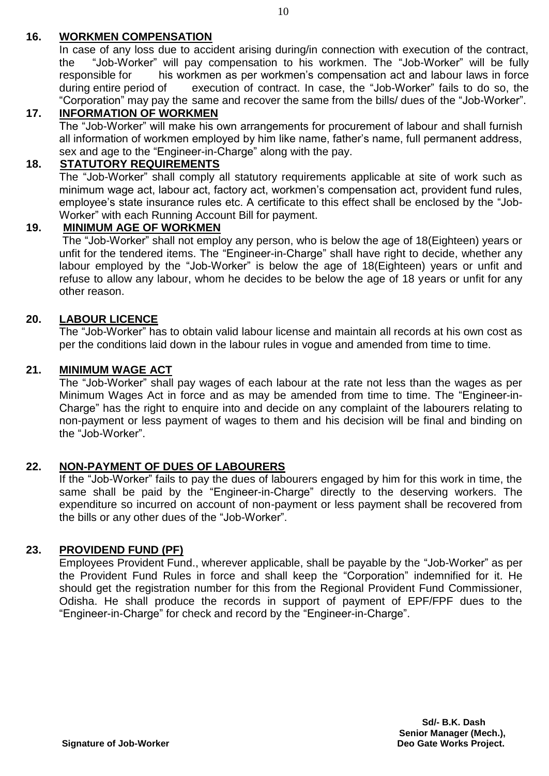# **16. WORKMEN COMPENSATION**

In case of any loss due to accident arising during/in connection with execution of the contract, the "Job-Worker" will pay compensation to his workmen. The "Job-Worker" will be fully responsible for his workmen as per workmen's compensation act and labour laws in force during entire period of execution of contract. In case, the "Job-Worker" fails to do so, the "Corporation" may pay the same and recover the same from the bills/ dues of the "Job-Worker".

# **17. INFORMATION OF WORKMEN**

The "Job-Worker" will make his own arrangements for procurement of labour and shall furnish all information of workmen employed by him like name, father's name, full permanent address, sex and age to the "Engineer-in-Charge" along with the pay.

# **18. STATUTORY REQUIREMENTS**

The "Job-Worker" shall comply all statutory requirements applicable at site of work such as minimum wage act, labour act, factory act, workmen's compensation act, provident fund rules, employee's state insurance rules etc. A certificate to this effect shall be enclosed by the "Job-Worker" with each Running Account Bill for payment.

### **19. MINIMUM AGE OF WORKMEN**

The "Job-Worker" shall not employ any person, who is below the age of 18(Eighteen) years or unfit for the tendered items. The "Engineer-in-Charge" shall have right to decide, whether any labour employed by the "Job-Worker" is below the age of 18(Eighteen) years or unfit and refuse to allow any labour, whom he decides to be below the age of 18 years or unfit for any other reason.

#### **20. LABOUR LICENCE**

The "Job-Worker" has to obtain valid labour license and maintain all records at his own cost as per the conditions laid down in the labour rules in vogue and amended from time to time.

#### **21. MINIMUM WAGE ACT**

The "Job-Worker" shall pay wages of each labour at the rate not less than the wages as per Minimum Wages Act in force and as may be amended from time to time. The "Engineer-in-Charge" has the right to enquire into and decide on any complaint of the labourers relating to non-payment or less payment of wages to them and his decision will be final and binding on the "Job-Worker".

### **22. NON-PAYMENT OF DUES OF LABOURERS**

If the "Job-Worker" fails to pay the dues of labourers engaged by him for this work in time, the same shall be paid by the "Engineer-in-Charge" directly to the deserving workers. The expenditure so incurred on account of non-payment or less payment shall be recovered from the bills or any other dues of the "Job-Worker".

### **23. PROVIDEND FUND (PF)**

Employees Provident Fund., wherever applicable, shall be payable by the "Job-Worker" as per the Provident Fund Rules in force and shall keep the "Corporation" indemnified for it. He should get the registration number for this from the Regional Provident Fund Commissioner, Odisha. He shall produce the records in support of payment of EPF/FPF dues to the "Engineer-in-Charge" for check and record by the "Engineer-in-Charge".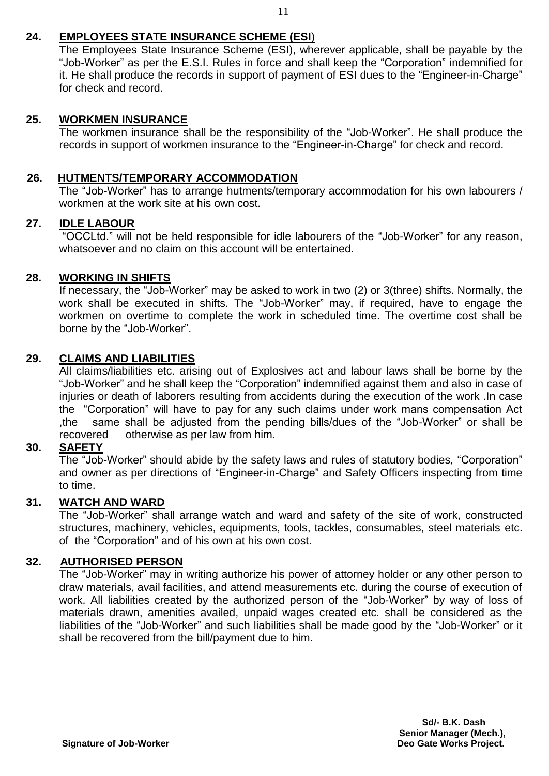# **24. EMPLOYEES STATE INSURANCE SCHEME (ESI**)

The Employees State Insurance Scheme (ESI), wherever applicable, shall be payable by the "Job-Worker" as per the E.S.I. Rules in force and shall keep the "Corporation" indemnified for it. He shall produce the records in support of payment of ESI dues to the "Engineer-in-Charge" for check and record.

### **25. WORKMEN INSURANCE**

The workmen insurance shall be the responsibility of the "Job-Worker". He shall produce the records in support of workmen insurance to the "Engineer-in-Charge" for check and record.

# **26. HUTMENTS/TEMPORARY ACCOMMODATION**

The "Job-Worker" has to arrange hutments/temporary accommodation for his own labourers / workmen at the work site at his own cost.

# **27. IDLE LABOUR**

"OCCLtd." will not be held responsible for idle labourers of the "Job-Worker" for any reason, whatsoever and no claim on this account will be entertained.

# **28. WORKING IN SHIFTS**

If necessary, the "Job-Worker" may be asked to work in two (2) or 3(three) shifts. Normally, the work shall be executed in shifts. The "Job-Worker" may, if required, have to engage the workmen on overtime to complete the work in scheduled time. The overtime cost shall be borne by the "Job-Worker".

# **29. CLAIMS AND LIABILITIES**

All claims/liabilities etc. arising out of Explosives act and labour laws shall be borne by the "Job-Worker" and he shall keep the "Corporation" indemnified against them and also in case of injuries or death of laborers resulting from accidents during the execution of the work .In case the "Corporation" will have to pay for any such claims under work mans compensation Act ,the same shall be adjusted from the pending bills/dues of the "Job-Worker" or shall be recovered otherwise as per law from him.

### **30. SAFETY**

The "Job-Worker" should abide by the safety laws and rules of statutory bodies, "Corporation" and owner as per directions of "Engineer-in-Charge" and Safety Officers inspecting from time to time.

### **31. WATCH AND WARD**

The "Job-Worker" shall arrange watch and ward and safety of the site of work, constructed structures, machinery, vehicles, equipments, tools, tackles, consumables, steel materials etc. of the "Corporation" and of his own at his own cost.

### **32. AUTHORISED PERSON**

The "Job-Worker" may in writing authorize his power of attorney holder or any other person to draw materials, avail facilities, and attend measurements etc. during the course of execution of work. All liabilities created by the authorized person of the "Job-Worker" by way of loss of materials drawn, amenities availed, unpaid wages created etc. shall be considered as the liabilities of the "Job-Worker" and such liabilities shall be made good by the "Job-Worker" or it shall be recovered from the bill/payment due to him.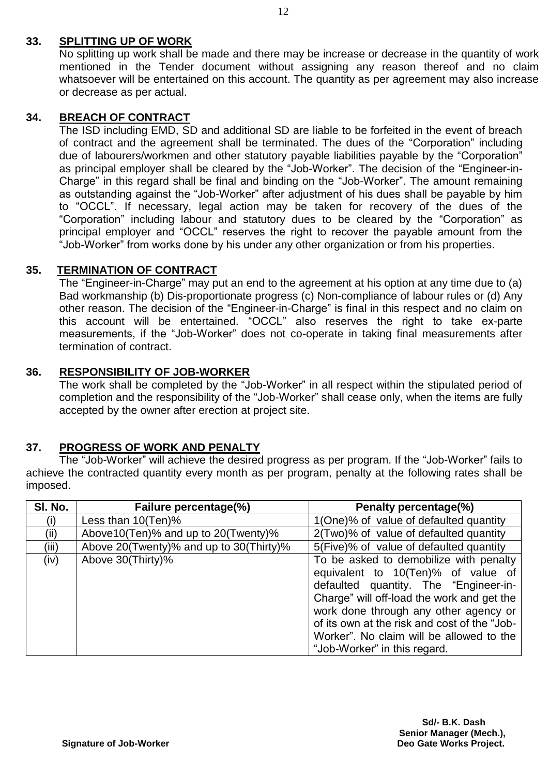# **33. SPLITTING UP OF WORK**

No splitting up work shall be made and there may be increase or decrease in the quantity of work mentioned in the Tender document without assigning any reason thereof and no claim whatsoever will be entertained on this account. The quantity as per agreement may also increase or decrease as per actual.

# **34. BREACH OF CONTRACT**

The ISD including EMD, SD and additional SD are liable to be forfeited in the event of breach of contract and the agreement shall be terminated. The dues of the "Corporation" including due of labourers/workmen and other statutory payable liabilities payable by the "Corporation" as principal employer shall be cleared by the "Job-Worker". The decision of the "Engineer-in-Charge" in this regard shall be final and binding on the "Job-Worker". The amount remaining as outstanding against the "Job-Worker" after adjustment of his dues shall be payable by him to "OCCL". If necessary, legal action may be taken for recovery of the dues of the "Corporation" including labour and statutory dues to be cleared by the "Corporation" as principal employer and "OCCL" reserves the right to recover the payable amount from the "Job-Worker" from works done by his under any other organization or from his properties.

# **35. TERMINATION OF CONTRACT**

The "Engineer-in-Charge" may put an end to the agreement at his option at any time due to (a) Bad workmanship (b) Dis-proportionate progress (c) Non-compliance of labour rules or (d) Any other reason. The decision of the "Engineer-in-Charge" is final in this respect and no claim on this account will be entertained. "OCCL" also reserves the right to take ex-parte measurements, if the "Job-Worker" does not co-operate in taking final measurements after termination of contract.

# **36. RESPONSIBILITY OF JOB-WORKER**

The work shall be completed by the "Job-Worker" in all respect within the stipulated period of completion and the responsibility of the "Job-Worker" shall cease only, when the items are fully accepted by the owner after erection at project site.

# **37. PROGRESS OF WORK AND PENALTY**

The "Job-Worker" will achieve the desired progress as per program. If the "Job-Worker" fails to achieve the contracted quantity every month as per program, penalty at the following rates shall be imposed.

| SI. No. | Failure percentage(%)                   | Penalty percentage(%)                        |  |  |  |
|---------|-----------------------------------------|----------------------------------------------|--|--|--|
| (i)     | Less than 10(Ten)%                      | 1(One)% of value of defaulted quantity       |  |  |  |
| (ii)    | Above 10 (Ten)% and up to 20 (Twenty)%  | 2(Two)% of value of defaulted quantity       |  |  |  |
| (iii)   | Above 20(Twenty)% and up to 30(Thirty)% | 5(Five)% of value of defaulted quantity      |  |  |  |
| (iv)    | Above 30(Thirty)%                       | To be asked to demobilize with penalty       |  |  |  |
|         |                                         | equivalent to 10(Ten)% of value of           |  |  |  |
|         |                                         | defaulted quantity. The "Engineer-in-        |  |  |  |
|         |                                         | Charge" will off-load the work and get the   |  |  |  |
|         |                                         | work done through any other agency or        |  |  |  |
|         |                                         | of its own at the risk and cost of the "Job- |  |  |  |
|         |                                         | Worker". No claim will be allowed to the     |  |  |  |
|         |                                         | "Job-Worker" in this regard.                 |  |  |  |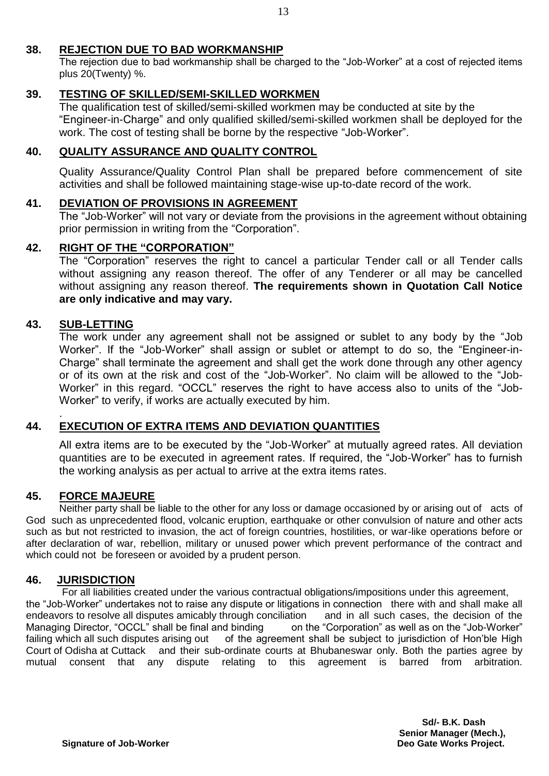# **38. REJECTION DUE TO BAD WORKMANSHIP**

The rejection due to bad workmanship shall be charged to the "Job-Worker" at a cost of rejected items plus 20(Twenty) %.

### **39. TESTING OF SKILLED/SEMI-SKILLED WORKMEN**

The qualification test of skilled/semi-skilled workmen may be conducted at site by the "Engineer-in-Charge" and only qualified skilled/semi-skilled workmen shall be deployed for the work. The cost of testing shall be borne by the respective "Job-Worker".

# **40. QUALITY ASSURANCE AND QUALITY CONTROL**

Quality Assurance/Quality Control Plan shall be prepared before commencement of site activities and shall be followed maintaining stage-wise up-to-date record of the work.

### **41. DEVIATION OF PROVISIONS IN AGREEMENT**

The "Job-Worker" will not vary or deviate from the provisions in the agreement without obtaining prior permission in writing from the "Corporation".

# **42. RIGHT OF THE "CORPORATION"**

The "Corporation" reserves the right to cancel a particular Tender call or all Tender calls without assigning any reason thereof. The offer of any Tenderer or all may be cancelled without assigning any reason thereof. **The requirements shown in Quotation Call Notice are only indicative and may vary.**

### **43. SUB-LETTING**

The work under any agreement shall not be assigned or sublet to any body by the "Job Worker". If the "Job-Worker" shall assign or sublet or attempt to do so, the "Engineer-in-Charge" shall terminate the agreement and shall get the work done through any other agency or of its own at the risk and cost of the "Job-Worker". No claim will be allowed to the "Job-Worker" in this regard. "OCCL" reserves the right to have access also to units of the "Job-Worker" to verify, if works are actually executed by him.

#### . **44. EXECUTION OF EXTRA ITEMS AND DEVIATION QUANTITIES**

All extra items are to be executed by the "Job-Worker" at mutually agreed rates. All deviation quantities are to be executed in agreement rates. If required, the "Job-Worker" has to furnish the working analysis as per actual to arrive at the extra items rates.

# **45. FORCE MAJEURE**

Neither party shall be liable to the other for any loss or damage occasioned by or arising out of acts of God such as unprecedented flood, volcanic eruption, earthquake or other convulsion of nature and other acts such as but not restricted to invasion, the act of foreign countries, hostilities, or war-like operations before or after declaration of war, rebellion, military or unused power which prevent performance of the contract and which could not be foreseen or avoided by a prudent person.

### **46. JURISDICTION**

For all liabilities created under the various contractual obligations/impositions under this agreement, the "Job-Worker" undertakes not to raise any dispute or litigations in connection there with and shall make all endeavors to resolve all disputes amicably through conciliation and in all such cases, the decision of the Managing Director, "OCCL" shall be final and binding on the "Corporation" as well as on the "Job-Worker" failing which all such disputes arising out of the agreement shall be subject to jurisdiction of Hon'ble High Court of Odisha at Cuttack and their sub-ordinate courts at Bhubaneswar only. Both the parties agree by mutual consent that any dispute relating to this agreement is barred from arbitration.

> **Sd/- B.K. Dash Senior Manager (Mech.),**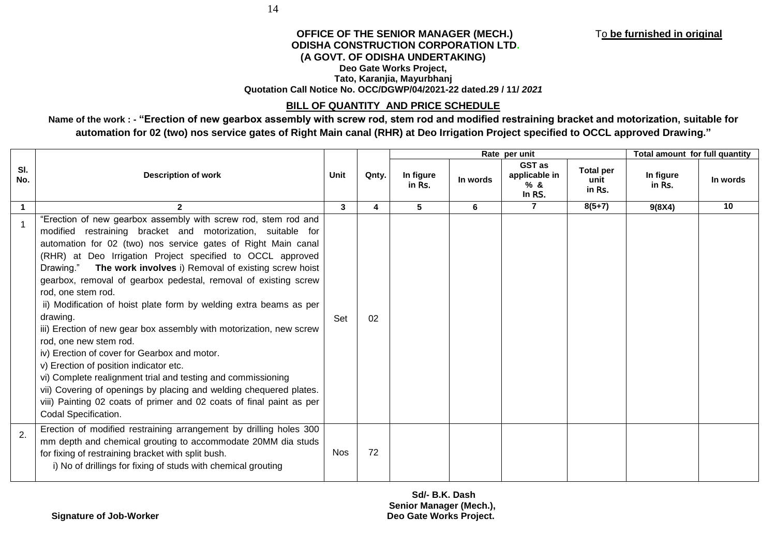#### **OFFICE OF THE SENIOR MANAGER (MECH.)** To **be furnished in original ODISHA CONSTRUCTION CORPORATION LTD. (A GOVT. OF ODISHA UNDERTAKING) Deo Gate Works Project, Tato, Karanjia, Mayurbhanj Quotation Call Notice No. OCC/DGWP/04/2021-22 dated.29 / 11/** *2021*

#### **BILL OF QUANTITY AND PRICE SCHEDULE**

**Name of the work : - "Erection of new gearbox assembly with screw rod, stem rod and modified restraining bracket and motorization, suitable for automation for 02 (two) nos service gates of Right Main canal (RHR) at Deo Irrigation Project specified to OCCL approved Drawing."**

|                      | <b>Description of work</b>                                                                                                                                                                                                                                                                                                                                                                                                                                                                                                                                                                                                                                                                                                                                                                                                                                                                                                                 | Unit         | Qnty. | Rate per unit       |          |                                                |                                    | Total amount for full quantity |          |
|----------------------|--------------------------------------------------------------------------------------------------------------------------------------------------------------------------------------------------------------------------------------------------------------------------------------------------------------------------------------------------------------------------------------------------------------------------------------------------------------------------------------------------------------------------------------------------------------------------------------------------------------------------------------------------------------------------------------------------------------------------------------------------------------------------------------------------------------------------------------------------------------------------------------------------------------------------------------------|--------------|-------|---------------------|----------|------------------------------------------------|------------------------------------|--------------------------------|----------|
| SI.<br>No.           |                                                                                                                                                                                                                                                                                                                                                                                                                                                                                                                                                                                                                                                                                                                                                                                                                                                                                                                                            |              |       | In figure<br>in Rs. | In words | <b>GST</b> as<br>applicable in<br>%&<br>In RS. | <b>Total per</b><br>unit<br>in Rs. | In figure<br>in Rs.            | In words |
| $\blacktriangleleft$ | $\overline{2}$                                                                                                                                                                                                                                                                                                                                                                                                                                                                                                                                                                                                                                                                                                                                                                                                                                                                                                                             | $\mathbf{3}$ | 4     | 5                   | 6        | $\overline{7}$                                 | $8(5+7)$                           | 9(8X4)                         | 10       |
|                      | "Erection of new gearbox assembly with screw rod, stem rod and<br>modified restraining bracket and motorization, suitable for<br>automation for 02 (two) nos service gates of Right Main canal<br>(RHR) at Deo Irrigation Project specified to OCCL approved<br>Drawing." The work involves i) Removal of existing screw hoist<br>gearbox, removal of gearbox pedestal, removal of existing screw<br>rod, one stem rod.<br>ii) Modification of hoist plate form by welding extra beams as per<br>drawing.<br>iii) Erection of new gear box assembly with motorization, new screw<br>rod, one new stem rod.<br>iv) Erection of cover for Gearbox and motor.<br>v) Erection of position indicator etc.<br>vi) Complete realignment trial and testing and commissioning<br>vii) Covering of openings by placing and welding chequered plates.<br>viii) Painting 02 coats of primer and 02 coats of final paint as per<br>Codal Specification. | Set          | 02    |                     |          |                                                |                                    |                                |          |
| 2.                   | Erection of modified restraining arrangement by drilling holes 300<br>mm depth and chemical grouting to accommodate 20MM dia studs<br>for fixing of restraining bracket with split bush.<br>i) No of drillings for fixing of studs with chemical grouting                                                                                                                                                                                                                                                                                                                                                                                                                                                                                                                                                                                                                                                                                  | <b>Nos</b>   | 72    |                     |          |                                                |                                    |                                |          |